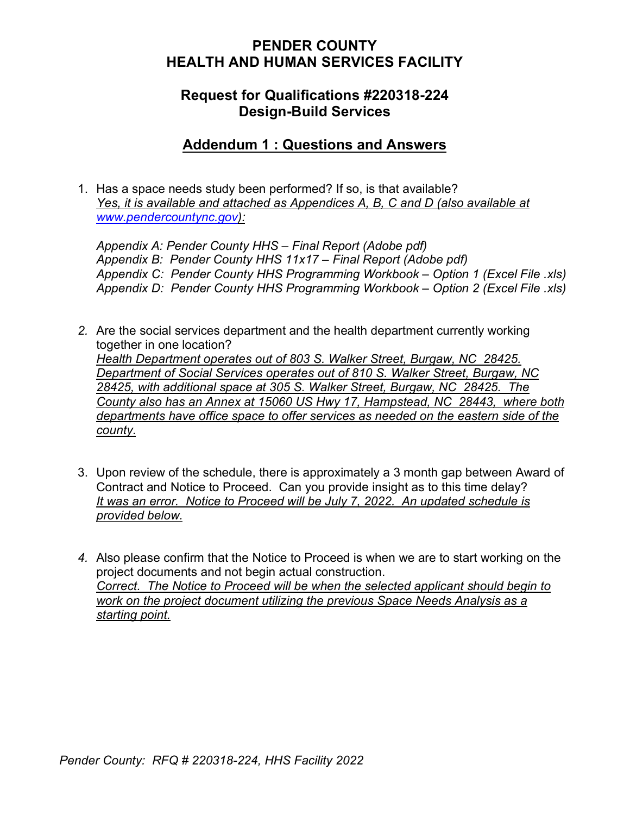### **PENDER COUNTY HEALTH AND HUMAN SERVICES FACILITY**

### **Request for Qualifications #220318-224 Design-Build Services**

### **Addendum 1 : Questions and Answers**

1. Has a space needs study been performed? If so, is that available? *Yes, it is available and attached as Appendices A, B, C and D (also available at [www.pendercountync.gov\)](http://www.pendercountync.gov/):*

*Appendix A: Pender County HHS – Final Report (Adobe pdf) Appendix B: Pender County HHS 11x17 – Final Report (Adobe pdf) Appendix C: Pender County HHS Programming Workbook – Option 1 (Excel File .xls) Appendix D: Pender County HHS Programming Workbook – Option 2 (Excel File .xls)*

- *2.* Are the social services department and the health department currently working together in one location? *Health Department operates out of 803 S. Walker Street, Burgaw, NC 28425. Department of Social Services operates out of 810 S. Walker Street, Burgaw, NC 28425, with additional space at 305 S. Walker Street, Burgaw, NC 28425. The County also has an Annex at 15060 US Hwy 17, Hampstead, NC 28443, where both departments have office space to offer services as needed on the eastern side of the county.*
- 3. Upon review of the schedule, there is approximately a 3 month gap between Award of Contract and Notice to Proceed. Can you provide insight as to this time delay? *It was an error. Notice to Proceed will be July 7, 2022. An updated schedule is provided below.*
- *4.* Also please confirm that the Notice to Proceed is when we are to start working on the project documents and not begin actual construction. *Correct. The Notice to Proceed will be when the selected applicant should begin to work on the project document utilizing the previous Space Needs Analysis as a starting point.*